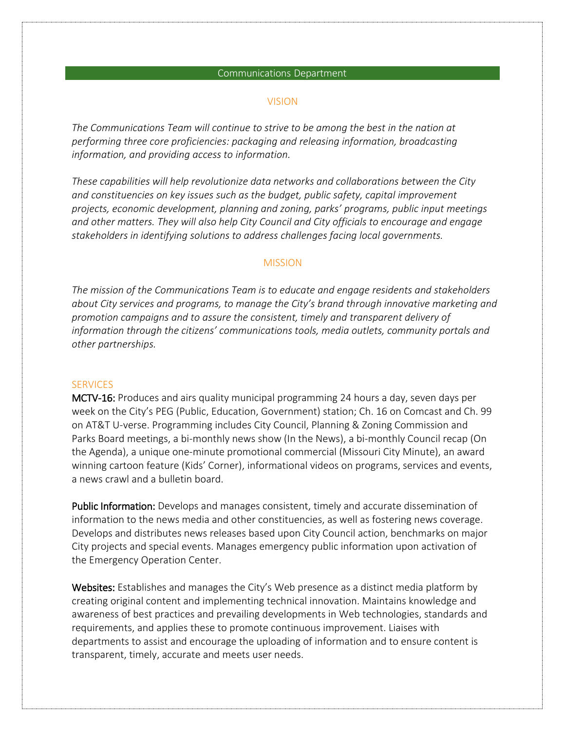#### Communications Department

#### VISION

*The Communications Team will continue to strive to be among the best in the nation at performing three core proficiencies: packaging and releasing information, broadcasting information, and providing access to information.*

*These capabilities will help revolutionize data networks and collaborations between the City and constituencies on key issues such as the budget, public safety, capital improvement projects, economic development, planning and zoning, parks' programs, public input meetings and other matters. They will also help City Council and City officials to encourage and engage stakeholders in identifying solutions to address challenges facing local governments.*

#### **MISSION**

*The mission of the Communications Team is to educate and engage residents and stakeholders about City services and programs, to manage the City's brand through innovative marketing and promotion campaigns and to assure the consistent, timely and transparent delivery of information through the citizens' communications tools, media outlets, community portals and other partnerships.* 

#### **SERVICES**

MCTV-16: Produces and airs quality municipal programming 24 hours a day, seven days per week on the City's PEG (Public, Education, Government) station; Ch. 16 on Comcast and Ch. 99 on AT&T U-verse. Programming includes City Council, Planning & Zoning Commission and Parks Board meetings, a bi-monthly news show (In the News), a bi-monthly Council recap (On the Agenda), a unique one-minute promotional commercial (Missouri City Minute), an award winning cartoon feature (Kids' Corner), informational videos on programs, services and events, a news crawl and a bulletin board.

Public Information: Develops and manages consistent, timely and accurate dissemination of information to the news media and other constituencies, as well as fostering news coverage. Develops and distributes news releases based upon City Council action, benchmarks on major City projects and special events. Manages emergency public information upon activation of the Emergency Operation Center.

Websites: Establishes and manages the City's Web presence as a distinct media platform by creating original content and implementing technical innovation. Maintains knowledge and awareness of best practices and prevailing developments in Web technologies, standards and requirements, and applies these to promote continuous improvement. Liaises with departments to assist and encourage the uploading of information and to ensure content is transparent, timely, accurate and meets user needs.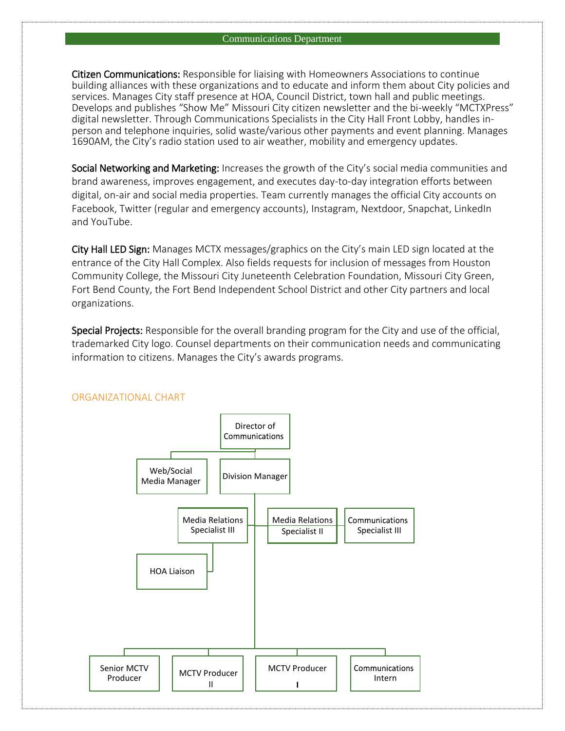Citizen Communications: Responsible for liaising with Homeowners Associations to continue building alliances with these organizations and to educate and inform them about City policies and services. Manages City staff presence at HOA, Council District, town hall and public meetings. Develops and publishes "Show Me" Missouri City citizen newsletter and the bi-weekly "MCTXPress" digital newsletter. Through Communications Specialists in the City Hall Front Lobby, handles inperson and telephone inquiries, solid waste/various other payments and event planning. Manages 1690AM, the City's radio station used to air weather, mobility and emergency updates.

Social Networking and Marketing: Increases the growth of the City's social media communities and brand awareness, improves engagement, and executes day-to-day integration efforts between digital, on-air and social media properties. Team currently manages the official City accounts on Facebook, Twitter (regular and emergency accounts), Instagram, Nextdoor, Snapchat, LinkedIn and YouTube.

City Hall LED Sign: Manages MCTX messages/graphics on the City's main LED sign located at the entrance of the City Hall Complex. Also fields requests for inclusion of messages from Houston Community College, the Missouri City Juneteenth Celebration Foundation, Missouri City Green, Fort Bend County, the Fort Bend Independent School District and other City partners and local organizations.

Special Projects: Responsible for the overall branding program for the City and use of the official, trademarked City logo. Counsel departments on their communication needs and communicating information to citizens. Manages the City's awards programs.



## ORGANIZATIONAL CHART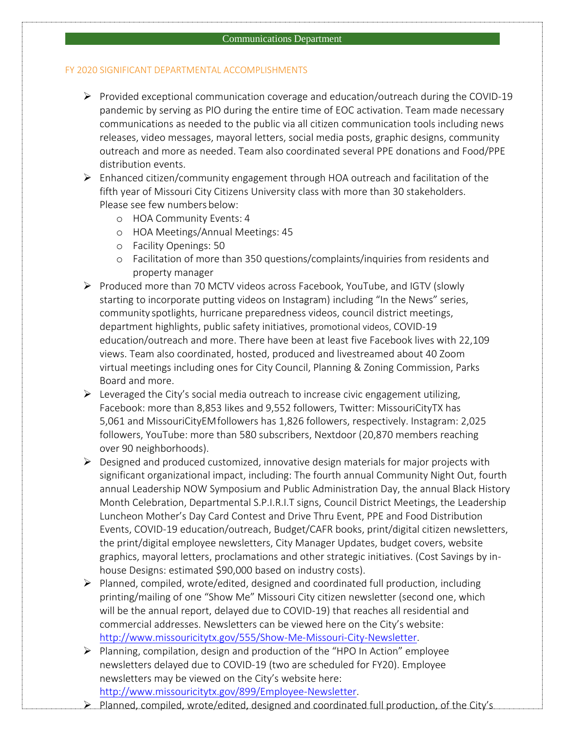#### Communications Department

## FY 2020 SIGNIFICANT DEPARTMENTAL ACCOMPLISHMENTS

- $\triangleright$  Provided exceptional communication coverage and education/outreach during the COVID-19 pandemic by serving as PIO during the entire time of EOC activation. Team made necessary communications as needed to the public via all citizen communication tools including news releases, video messages, mayoral letters, social media posts, graphic designs, community outreach and more as needed. Team also coordinated several PPE donations and Food/PPE distribution events.
- Enhanced citizen/community engagement through HOA outreach and facilitation of the fifth year of Missouri City Citizens University class with more than 30 stakeholders. Please see few numbers below:
	- o HOA Community Events: 4
	- o HOA Meetings/Annual Meetings: 45
	- o Facility Openings: 50
	- o Facilitation of more than 350 questions/complaints/inquiries from residents and property manager
- $\triangleright$  Produced more than 70 MCTV videos across Facebook, YouTube, and IGTV (slowly starting to incorporate putting videos on Instagram) including "In the News" series, community spotlights, hurricane preparedness videos, council district meetings, department highlights, public safety initiatives, promotional videos, COVID-19 education/outreach and more. There have been at least five Facebook lives with 22,109 views. Team also coordinated, hosted, produced and livestreamed about 40 Zoom virtual meetings including ones for City Council, Planning & Zoning Commission, Parks Board and more.
- $\triangleright$  Leveraged the City's social media outreach to increase civic engagement utilizing, Facebook: more than 8,853 likes and 9,552 followers, Twitter: MissouriCityTX has 5,061 and MissouriCityEMfollowers has 1,826 followers, respectively. Instagram: 2,025 followers, YouTube: more than 580 subscribers, Nextdoor (20,870 members reaching over 90 neighborhoods).
- $\triangleright$  Designed and produced customized, innovative design materials for major projects with significant organizational impact, including: The fourth annual Community Night Out, fourth annual Leadership NOW Symposium and Public Administration Day, the annual Black History Month Celebration, Departmental S.P.I.R.I.T signs, Council District Meetings, the Leadership Luncheon Mother's Day Card Contest and Drive Thru Event, PPE and Food Distribution Events, COVID-19 education/outreach, Budget/CAFR books, print/digital citizen newsletters, the print/digital employee newsletters, City Manager Updates, budget covers, website graphics, mayoral letters, proclamations and other strategic initiatives. (Cost Savings by inhouse Designs: estimated \$90,000 based on industry costs).
- $\triangleright$  Planned, compiled, wrote/edited, designed and coordinated full production, including printing/mailing of one "Show Me" Missouri City citizen newsletter (second one, which will be the annual report, delayed due to COVID-19) that reaches all residential and commercial addresses. Newsletters can be viewed here on the City's website: [http://www.missouricitytx.gov/555/Show-Me-Missouri-City-Newsletter.](http://www.missouricitytx.gov/555/Show-Me-Missouri-City-Newsletter)
- $\triangleright$  Planning, compilation, design and production of the "HPO In Action" employee newsletters delayed due to COVID-19 (two are scheduled for FY20). Employee newsletters may be viewed on the City's website here: [http://www.missouricitytx.gov/899/Employee-Newsletter.](http://www.missouricitytx.gov/899/Employee-Newsletter)
- $\triangleright$  Planned, compiled, wrote/edited, designed and coordinated full production, of the City's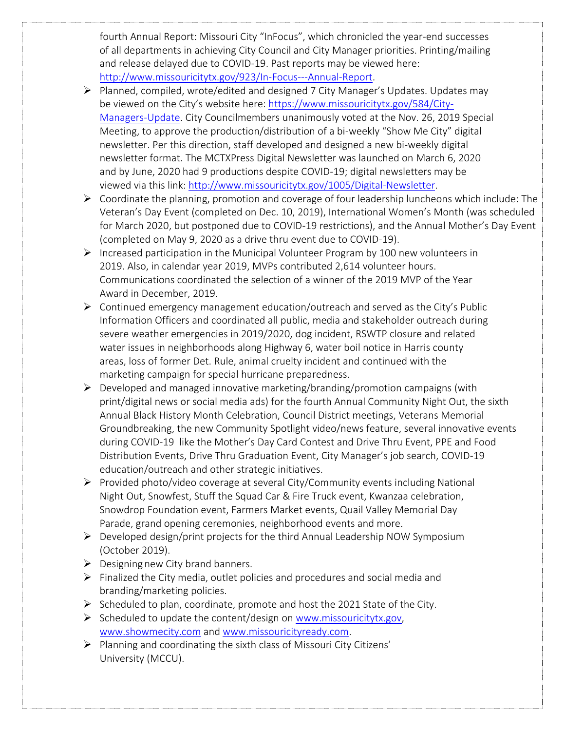fourth Annual Report: Missouri City "InFocus", which chronicled the year-end successes of all departments in achieving City Council and City Manager priorities. Printing/mailing and release delayed due to COVID-19. Past reports may be viewed here: [http://www.missouricitytx.gov/923/In-Focus---Annual-Report.](http://www.missouricitytx.gov/923/In-Focus---Annual-Report)

- Planned, compiled, wrote/edited and designed 7 City Manager's Updates. Updates may be viewed on the City's website here: [https://www.missouricitytx.gov/584/City-](https://www.missouricitytx.gov/584/City-Managers-Update)[Managers-Update.](https://www.missouricitytx.gov/584/City-Managers-Update) City Councilmembers unanimously voted at the Nov. 26, 2019 Special Meeting, to approve the production/distribution of a bi-weekly "Show Me City" digital newsletter. Per this direction, staff developed and designed a new bi-weekly digital newsletter format. The MCTXPress Digital Newsletter was launched on March 6, 2020 and by June, 2020 had 9 productions despite COVID-19; digital newsletters may be viewed via this link: [http://www.missouricitytx.gov/1005/Digital-Newsletter.](http://www.missouricitytx.gov/1005/Digital-Newsletter)
- $\triangleright$  Coordinate the planning, promotion and coverage of four leadership luncheons which include: The Veteran's Day Event (completed on Dec. 10, 2019), International Women's Month (was scheduled for March 2020, but postponed due to COVID-19 restrictions), and the Annual Mother's Day Event (completed on May 9, 2020 as a drive thru event due to COVID-19).
- $\triangleright$  Increased participation in the Municipal Volunteer Program by 100 new volunteers in 2019. Also, in calendar year 2019, MVPs contributed 2,614 volunteer hours. Communications coordinated the selection of a winner of the 2019 MVP of the Year Award in December, 2019.
- $\triangleright$  Continued emergency management education/outreach and served as the City's Public Information Officers and coordinated all public, media and stakeholder outreach during severe weather emergencies in 2019/2020, dog incident, RSWTP closure and related water issues in neighborhoods along Highway 6, water boil notice in Harris county areas, loss of former Det. Rule, animal cruelty incident and continued with the marketing campaign for special hurricane preparedness.
- $\triangleright$  Developed and managed innovative marketing/branding/promotion campaigns (with print/digital news or social media ads) for the fourth Annual Community Night Out, the sixth Annual Black History Month Celebration, Council District meetings, Veterans Memorial Groundbreaking, the new Community Spotlight video/news feature, several innovative events during COVID-19 like the Mother's Day Card Contest and Drive Thru Event, PPE and Food Distribution Events, Drive Thru Graduation Event, City Manager's job search, COVID-19 education/outreach and other strategic initiatives.
- Provided photo/video coverage at several City/Community events including National Night Out, Snowfest, Stuff the Squad Car & Fire Truck event, Kwanzaa celebration, Snowdrop Foundation event, Farmers Market events, Quail Valley Memorial Day Parade, grand opening ceremonies, neighborhood events and more.
- $\triangleright$  Developed design/print projects for the third Annual Leadership NOW Symposium (October 2019).
- $\triangleright$  Designing new City brand banners.
- $\triangleright$  Finalized the City media, outlet policies and procedures and social media and branding/marketing policies.
- $\triangleright$  Scheduled to plan, coordinate, promote and host the 2021 State of the City.
- $\triangleright$  Scheduled to update the content/design on [www.missouricitytx.gov,](http://www.missouricitytx.gov/) [www.showmecity.com](http://www.showmecity.com/) and [www.missouricityready.com.](http://www.missouricityready.com/)
- $\triangleright$  Planning and coordinating the sixth class of Missouri City Citizens' University (MCCU).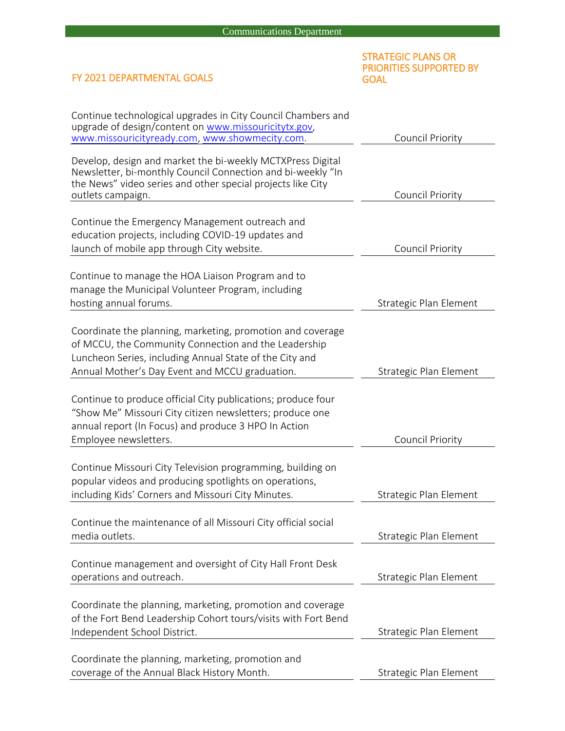# STRATEGIC PLANS OR PRIORITIES SUPPORTED BY GOAL

# FY 2021 DEPARTMENTAL GOALS

| Continue technological upgrades in City Council Chambers and<br>upgrade of design/content on www.missouricitytx.gov,<br>www.missouricityready.com, www.showmecity.com.                                                          | Council Priority       |
|---------------------------------------------------------------------------------------------------------------------------------------------------------------------------------------------------------------------------------|------------------------|
| Develop, design and market the bi-weekly MCTXPress Digital<br>Newsletter, bi-monthly Council Connection and bi-weekly "In<br>the News" video series and other special projects like City<br>outlets campaign.                   | Council Priority       |
| Continue the Emergency Management outreach and<br>education projects, including COVID-19 updates and<br>launch of mobile app through City website.                                                                              | Council Priority       |
| Continue to manage the HOA Liaison Program and to<br>manage the Municipal Volunteer Program, including<br>hosting annual forums.                                                                                                | Strategic Plan Element |
| Coordinate the planning, marketing, promotion and coverage<br>of MCCU, the Community Connection and the Leadership<br>Luncheon Series, including Annual State of the City and<br>Annual Mother's Day Event and MCCU graduation. | Strategic Plan Element |
| Continue to produce official City publications; produce four<br>"Show Me" Missouri City citizen newsletters; produce one<br>annual report (In Focus) and produce 3 HPO In Action<br>Employee newsletters.                       | Council Priority       |
| Continue Missouri City Television programming, building on<br>popular videos and producing spotlights on operations,<br>including Kids' Corners and Missouri City Minutes.                                                      | Strategic Plan Element |
| Continue the maintenance of all Missouri City official social<br>media outlets.                                                                                                                                                 | Strategic Plan Element |
| Continue management and oversight of City Hall Front Desk<br>operations and outreach.                                                                                                                                           | Strategic Plan Element |
| Coordinate the planning, marketing, promotion and coverage<br>of the Fort Bend Leadership Cohort tours/visits with Fort Bend<br>Independent School District.                                                                    | Strategic Plan Element |
| Coordinate the planning, marketing, promotion and<br>coverage of the Annual Black History Month.                                                                                                                                | Strategic Plan Element |